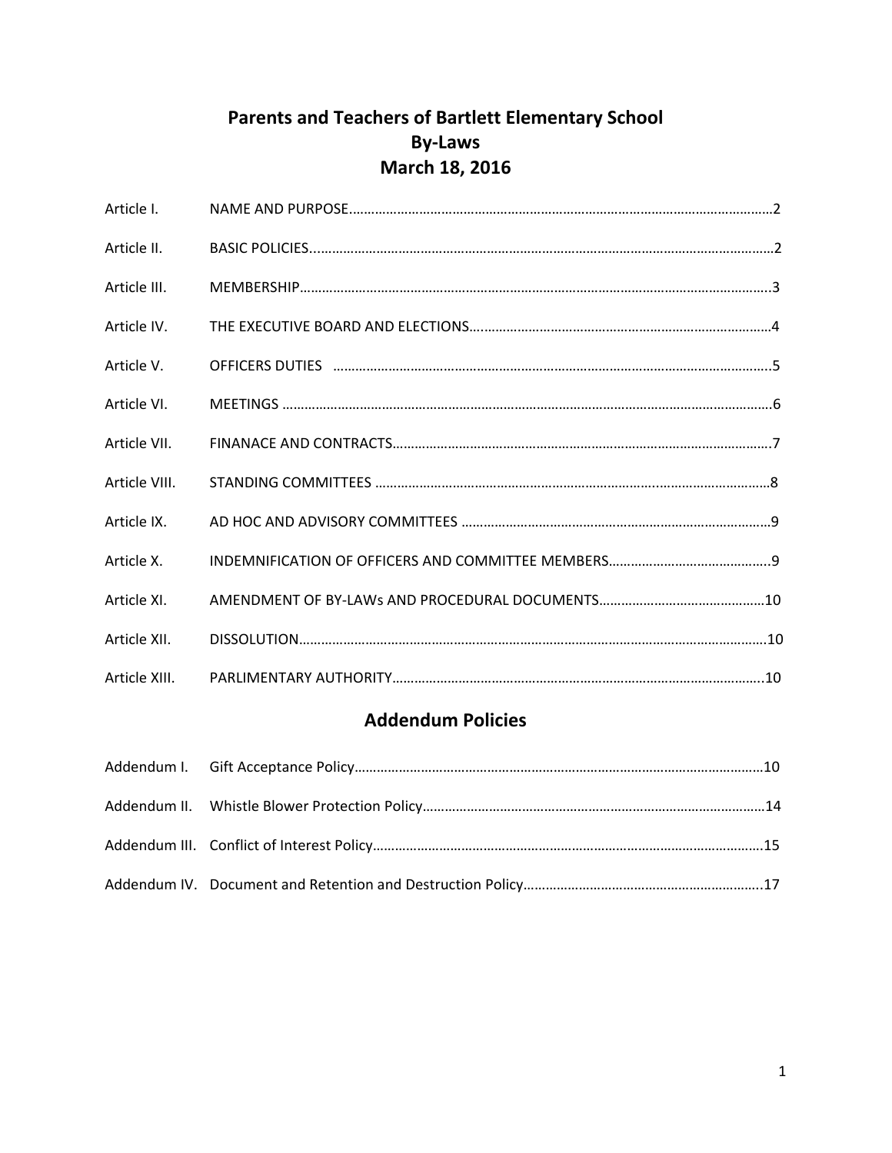# **Parents and Teachers of Bartlett Elementary School By‐Laws March 18, 2016**

| Article I.    |  |
|---------------|--|
| Article II.   |  |
| Article III.  |  |
| Article IV.   |  |
| Article V.    |  |
| Article VI.   |  |
| Article VII.  |  |
| Article VIII. |  |
| Article IX.   |  |
| Article X.    |  |
| Article XI.   |  |
| Article XII.  |  |
| Article XIII. |  |

## **Addendum Policies**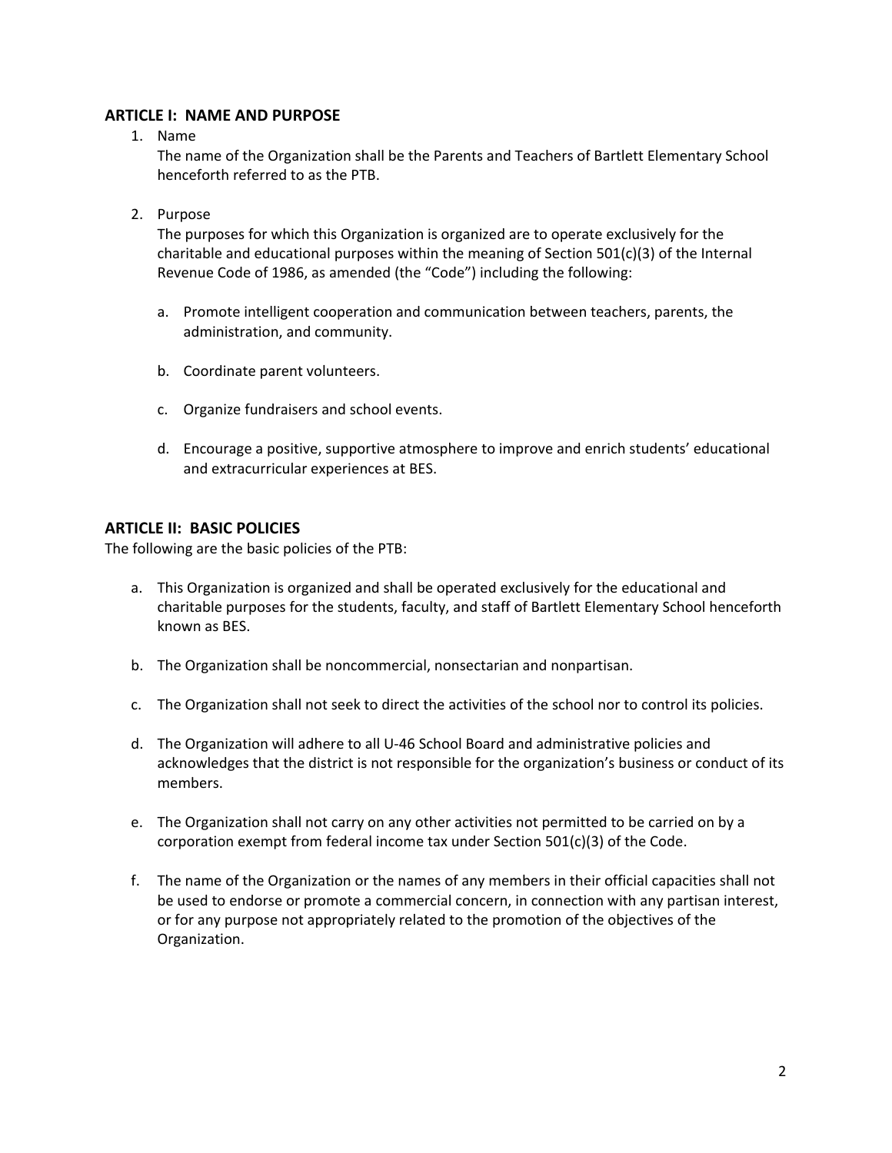## **ARTICLE I: NAME AND PURPOSE**

1. Name

The name of the Organization shall be the Parents and Teachers of Bartlett Elementary School henceforth referred to as the PTB.

2. Purpose

The purposes for which this Organization is organized are to operate exclusively for the charitable and educational purposes within the meaning of Section  $501(c)(3)$  of the Internal Revenue Code of 1986, as amended (the "Code") including the following:

- a. Promote intelligent cooperation and communication between teachers, parents, the administration, and community.
- b. Coordinate parent volunteers.
- c. Organize fundraisers and school events.
- d. Encourage a positive, supportive atmosphere to improve and enrich students' educational and extracurricular experiences at BES.

#### **ARTICLE II: BASIC POLICIES**

The following are the basic policies of the PTB:

- a. This Organization is organized and shall be operated exclusively for the educational and charitable purposes for the students, faculty, and staff of Bartlett Elementary School henceforth known as BES.
- b. The Organization shall be noncommercial, nonsectarian and nonpartisan.
- c. The Organization shall not seek to direct the activities of the school nor to control its policies.
- d. The Organization will adhere to all U‐46 School Board and administrative policies and acknowledges that the district is not responsible for the organization's business or conduct of its members.
- e. The Organization shall not carry on any other activities not permitted to be carried on by a corporation exempt from federal income tax under Section 501(c)(3) of the Code.
- f. The name of the Organization or the names of any members in their official capacities shall not be used to endorse or promote a commercial concern, in connection with any partisan interest, or for any purpose not appropriately related to the promotion of the objectives of the Organization.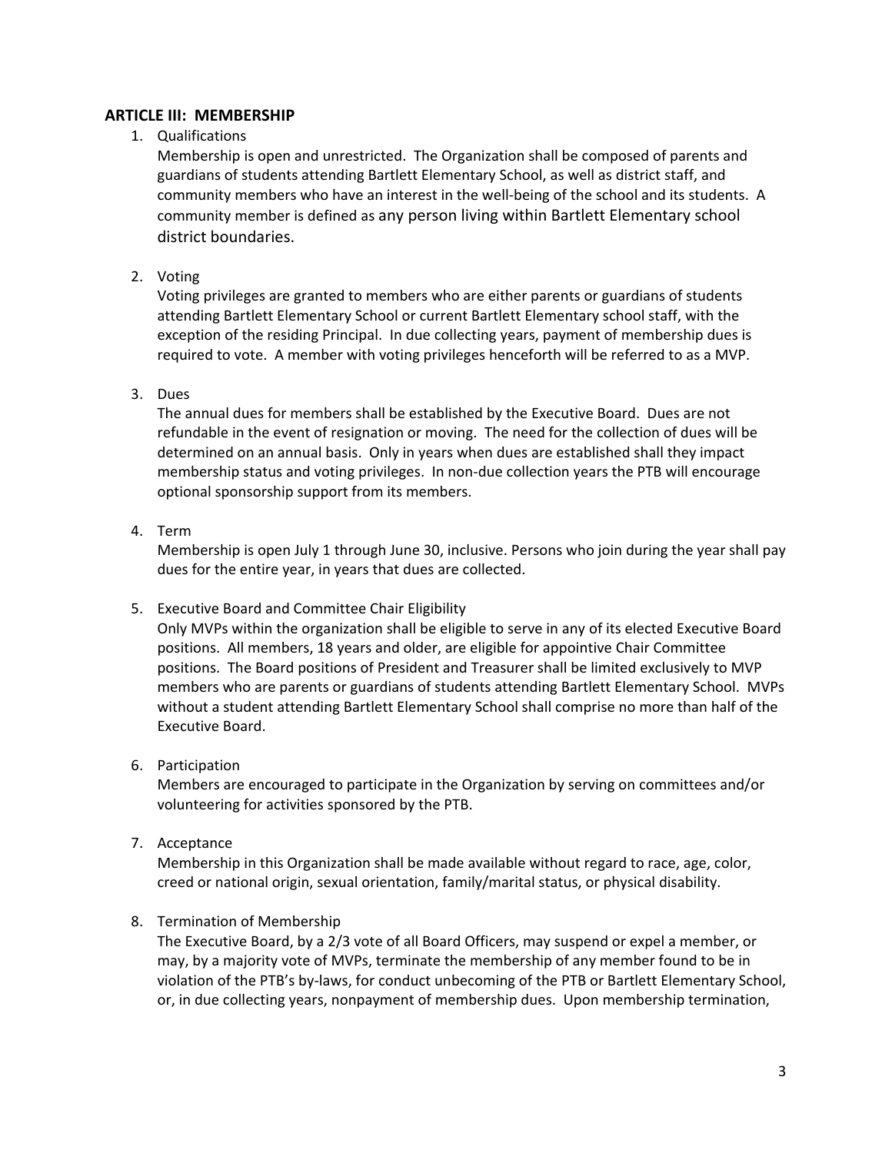## **ARTICLE III: MEMBERSHIP**

1. Qualifications

Membership is open and unrestricted. The Organization shall be composed of parents and guardians of students attending Bartlett Elementary School, as well as district staff, and community members who have an interest in the well-being of the school and its students. A community member is defined as any person living within Bartlett Elementary school district boundaries.

2. Voting

Voting privileges are granted to members who are either parents or guardians of students attending Bartlett Elementary School or current Bartlett Elementary school staff, with the exception of the residing Principal. In due collecting years, payment of membership dues is required to vote. A member with voting privileges henceforth will be referred to as a MVP.

3. Dues

The annual dues for members shall be established by the Executive Board. Dues are not refundable in the event of resignation or moving. The need for the collection of dues will be determined on an annual basis. Only in years when dues are established shall they impact membership status and voting privileges. In non-due collection years the PTB will encourage optional sponsorship support from its members.

4. Term

Membership is open July 1 through June 30, inclusive. Persons who join during the year shall pay dues for the entire year, in years that dues are collected.

5. Executive Board and Committee Chair Eligibility

Only MVPs within the organization shall be eligible to serve in any of its elected Executive Board positions. All members, 18 years and older, are eligible for appointive Chair Committee positions. The Board positions of President and Treasurer shall be limited exclusively to MVP members who are parents or guardians of students attending Bartlett Elementary School. MVPs without a student attending Bartlett Elementary School shall comprise no more than half of the Executive Board.

6. Participation

Members are encouraged to participate in the Organization by serving on committees and/or volunteering for activities sponsored by the PTB.

7. Acceptance

Membership in this Organization shall be made available without regard to race, age, color, creed or national origin, sexual orientation, family/marital status, or physical disability.

8. Termination of Membership

The Executive Board, by a 2/3 vote of all Board Officers, may suspend or expel a member, or may, by a majority vote of MVPs, terminate the membership of any member found to be in violation of the PTB's by‐laws, for conduct unbecoming of the PTB or Bartlett Elementary School, or, in due collecting years, nonpayment of membership dues. Upon membership termination,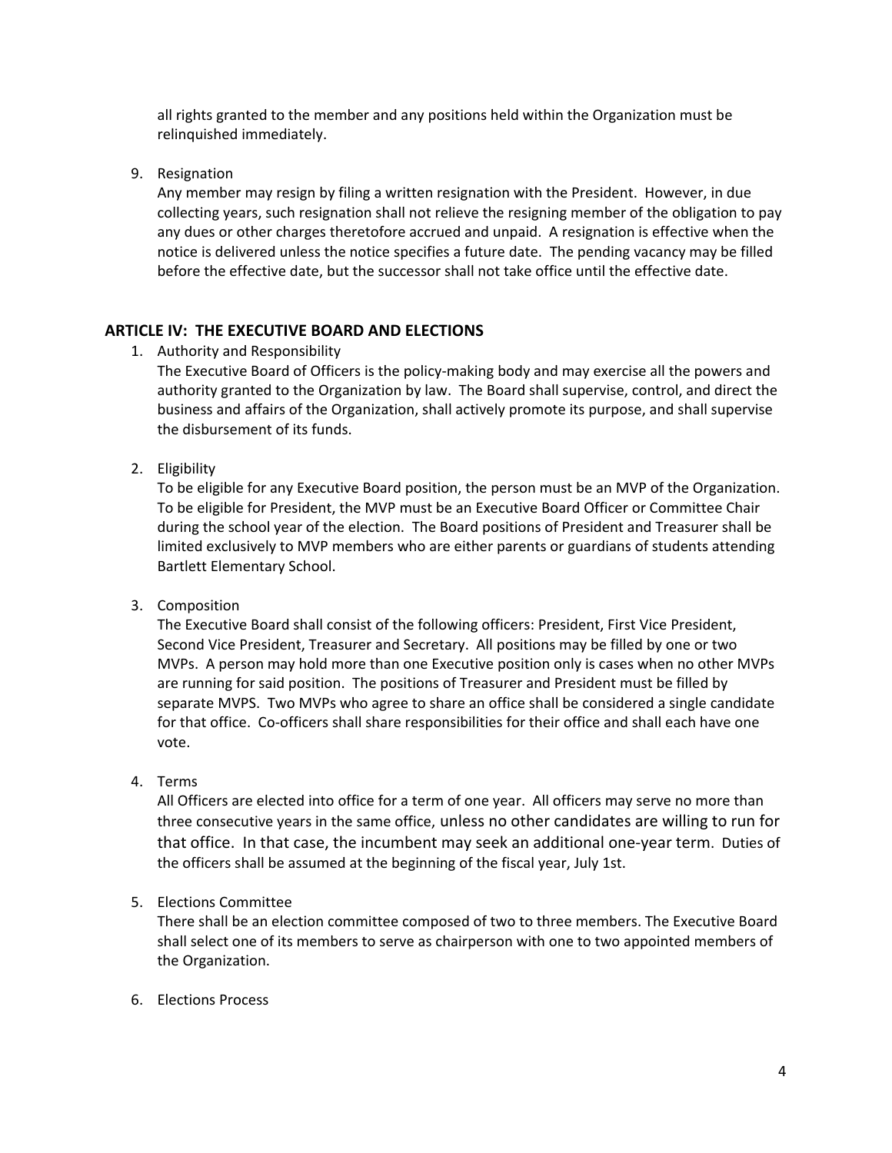all rights granted to the member and any positions held within the Organization must be relinquished immediately.

9. Resignation

Any member may resign by filing a written resignation with the President. However, in due collecting years, such resignation shall not relieve the resigning member of the obligation to pay any dues or other charges theretofore accrued and unpaid. A resignation is effective when the notice is delivered unless the notice specifies a future date. The pending vacancy may be filled before the effective date, but the successor shall not take office until the effective date.

## **ARTICLE IV: THE EXECUTIVE BOARD AND ELECTIONS**

1. Authority and Responsibility

The Executive Board of Officers is the policy-making body and may exercise all the powers and authority granted to the Organization by law. The Board shall supervise, control, and direct the business and affairs of the Organization, shall actively promote its purpose, and shall supervise the disbursement of its funds.

2. Eligibility

To be eligible for any Executive Board position, the person must be an MVP of the Organization. To be eligible for President, the MVP must be an Executive Board Officer or Committee Chair during the school year of the election. The Board positions of President and Treasurer shall be limited exclusively to MVP members who are either parents or guardians of students attending Bartlett Elementary School.

3. Composition

The Executive Board shall consist of the following officers: President, First Vice President, Second Vice President, Treasurer and Secretary. All positions may be filled by one or two MVPs. A person may hold more than one Executive position only is cases when no other MVPs are running for said position. The positions of Treasurer and President must be filled by separate MVPS. Two MVPs who agree to share an office shall be considered a single candidate for that office. Co-officers shall share responsibilities for their office and shall each have one vote.

4. Terms

All Officers are elected into office for a term of one year. All officers may serve no more than three consecutive years in the same office, unless no other candidates are willing to run for that office. In that case, the incumbent may seek an additional one‐year term. Duties of the officers shall be assumed at the beginning of the fiscal year, July 1st.

## 5. Elections Committee

There shall be an election committee composed of two to three members. The Executive Board shall select one of its members to serve as chairperson with one to two appointed members of the Organization.

6. Elections Process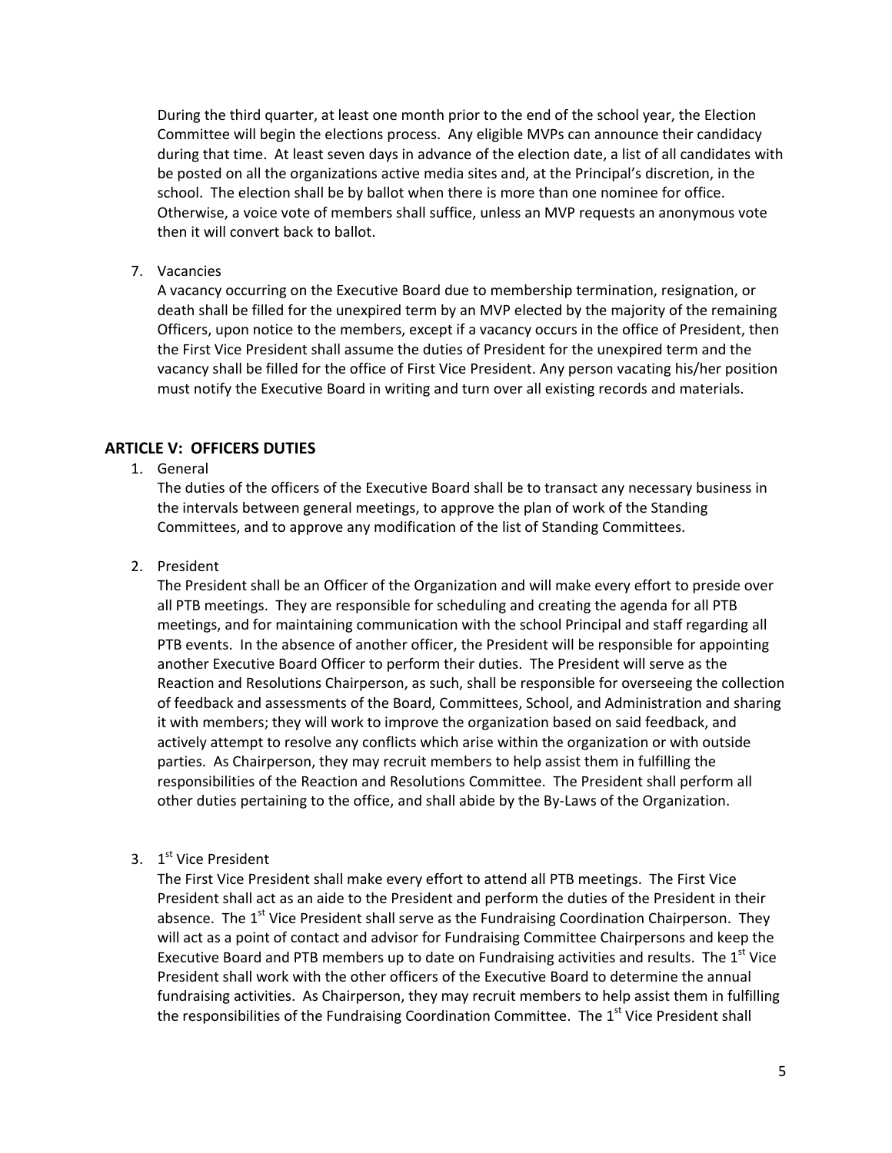During the third quarter, at least one month prior to the end of the school year, the Election Committee will begin the elections process. Any eligible MVPs can announce their candidacy during that time. At least seven days in advance of the election date, a list of all candidates with be posted on all the organizations active media sites and, at the Principal's discretion, in the school. The election shall be by ballot when there is more than one nominee for office. Otherwise, a voice vote of members shall suffice, unless an MVP requests an anonymous vote then it will convert back to ballot.

7. Vacancies

A vacancy occurring on the Executive Board due to membership termination, resignation, or death shall be filled for the unexpired term by an MVP elected by the majority of the remaining Officers, upon notice to the members, except if a vacancy occurs in the office of President, then the First Vice President shall assume the duties of President for the unexpired term and the vacancy shall be filled for the office of First Vice President. Any person vacating his/her position must notify the Executive Board in writing and turn over all existing records and materials.

#### **ARTICLE V: OFFICERS DUTIES**

1. General

The duties of the officers of the Executive Board shall be to transact any necessary business in the intervals between general meetings, to approve the plan of work of the Standing Committees, and to approve any modification of the list of Standing Committees.

#### 2. President

The President shall be an Officer of the Organization and will make every effort to preside over all PTB meetings. They are responsible for scheduling and creating the agenda for all PTB meetings, and for maintaining communication with the school Principal and staff regarding all PTB events. In the absence of another officer, the President will be responsible for appointing another Executive Board Officer to perform their duties. The President will serve as the Reaction and Resolutions Chairperson, as such, shall be responsible for overseeing the collection of feedback and assessments of the Board, Committees, School, and Administration and sharing it with members; they will work to improve the organization based on said feedback, and actively attempt to resolve any conflicts which arise within the organization or with outside parties. As Chairperson, they may recruit members to help assist them in fulfilling the responsibilities of the Reaction and Resolutions Committee. The President shall perform all other duties pertaining to the office, and shall abide by the By‐Laws of the Organization.

#### 3. 1<sup>st</sup> Vice President

The First Vice President shall make every effort to attend all PTB meetings. The First Vice President shall act as an aide to the President and perform the duties of the President in their absence. The  $1<sup>st</sup>$  Vice President shall serve as the Fundraising Coordination Chairperson. They will act as a point of contact and advisor for Fundraising Committee Chairpersons and keep the Executive Board and PTB members up to date on Fundraising activities and results. The 1<sup>st</sup> Vice President shall work with the other officers of the Executive Board to determine the annual fundraising activities. As Chairperson, they may recruit members to help assist them in fulfilling the responsibilities of the Fundraising Coordination Committee. The  $1<sup>st</sup>$  Vice President shall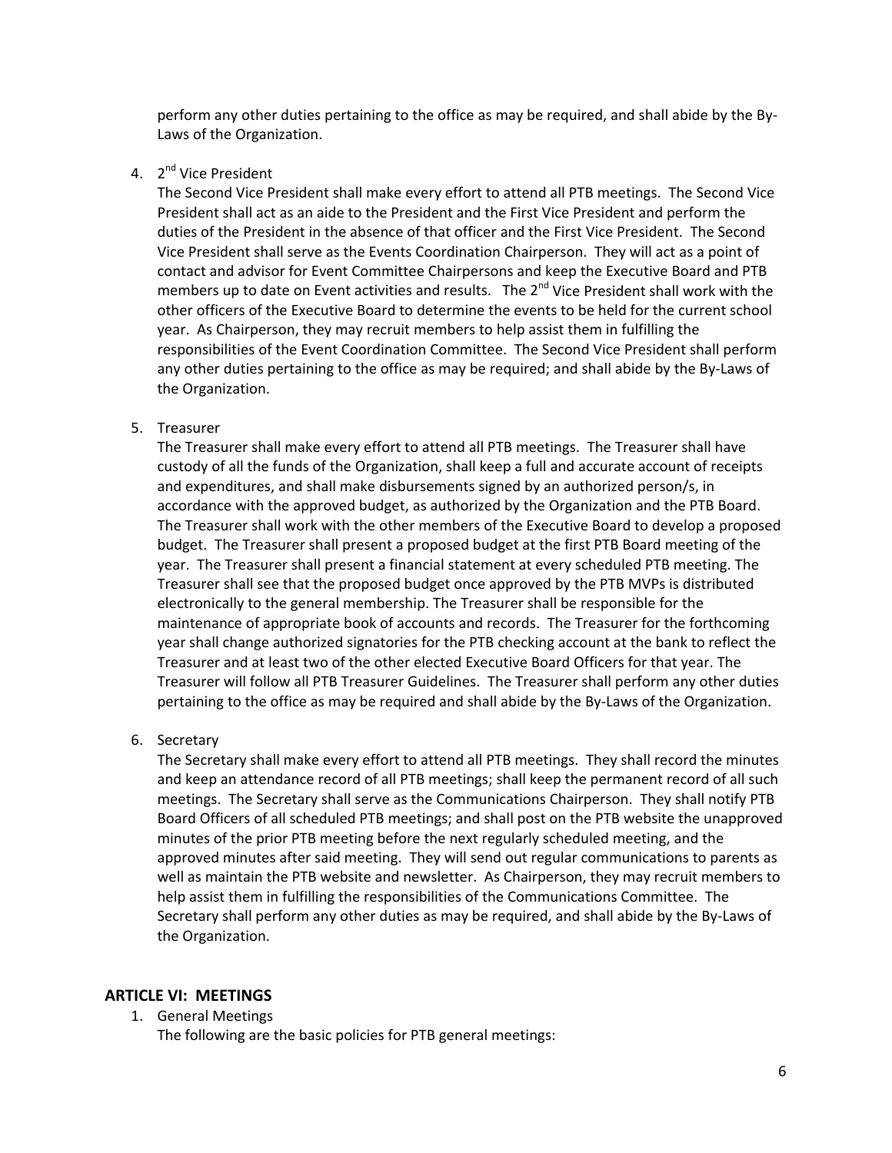perform any other duties pertaining to the office as may be required, and shall abide by the By‐ Laws of the Organization.

4. 2<sup>nd</sup> Vice President

The Second Vice President shall make every effort to attend all PTB meetings. The Second Vice President shall act as an aide to the President and the First Vice President and perform the duties of the President in the absence of that officer and the First Vice President. The Second Vice President shall serve as the Events Coordination Chairperson. They will act as a point of contact and advisor for Event Committee Chairpersons and keep the Executive Board and PTB members up to date on Event activities and results. The 2<sup>nd</sup> Vice President shall work with the other officers of the Executive Board to determine the events to be held for the current school year. As Chairperson, they may recruit members to help assist them in fulfilling the responsibilities of the Event Coordination Committee. The Second Vice President shall perform any other duties pertaining to the office as may be required; and shall abide by the By‐Laws of the Organization.

#### 5. Treasurer

The Treasurer shall make every effort to attend all PTB meetings. The Treasurer shall have custody of all the funds of the Organization, shall keep a full and accurate account of receipts and expenditures, and shall make disbursements signed by an authorized person/s, in accordance with the approved budget, as authorized by the Organization and the PTB Board. The Treasurer shall work with the other members of the Executive Board to develop a proposed budget. The Treasurer shall present a proposed budget at the first PTB Board meeting of the year. The Treasurer shall present a financial statement at every scheduled PTB meeting. The Treasurer shall see that the proposed budget once approved by the PTB MVPs is distributed electronically to the general membership. The Treasurer shall be responsible for the maintenance of appropriate book of accounts and records. The Treasurer for the forthcoming year shall change authorized signatories for the PTB checking account at the bank to reflect the Treasurer and at least two of the other elected Executive Board Officers for that year. The Treasurer will follow all PTB Treasurer Guidelines. The Treasurer shall perform any other duties pertaining to the office as may be required and shall abide by the By-Laws of the Organization.

6. Secretary

The Secretary shall make every effort to attend all PTB meetings. They shall record the minutes and keep an attendance record of all PTB meetings; shall keep the permanent record of all such meetings. The Secretary shall serve as the Communications Chairperson. They shall notify PTB Board Officers of all scheduled PTB meetings; and shall post on the PTB website the unapproved minutes of the prior PTB meeting before the next regularly scheduled meeting, and the approved minutes after said meeting. They will send out regular communications to parents as well as maintain the PTB website and newsletter. As Chairperson, they may recruit members to help assist them in fulfilling the responsibilities of the Communications Committee. The Secretary shall perform any other duties as may be required, and shall abide by the By‐Laws of the Organization.

#### **ARTICLE VI: MEETINGS**

1. General Meetings

The following are the basic policies for PTB general meetings: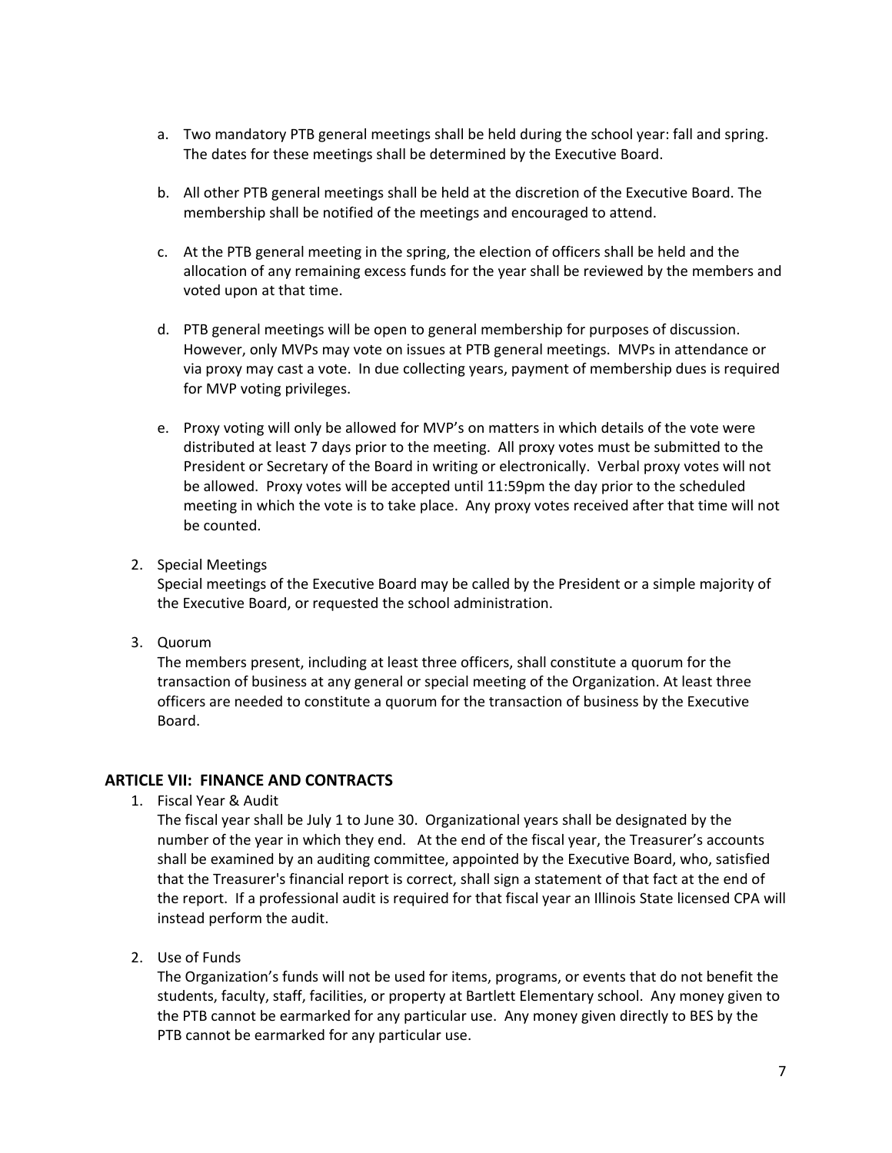- a. Two mandatory PTB general meetings shall be held during the school year: fall and spring. The dates for these meetings shall be determined by the Executive Board.
- b. All other PTB general meetings shall be held at the discretion of the Executive Board. The membership shall be notified of the meetings and encouraged to attend.
- c. At the PTB general meeting in the spring, the election of officers shall be held and the allocation of any remaining excess funds for the year shall be reviewed by the members and voted upon at that time.
- d. PTB general meetings will be open to general membership for purposes of discussion. However, only MVPs may vote on issues at PTB general meetings. MVPs in attendance or via proxy may cast a vote. In due collecting years, payment of membership dues is required for MVP voting privileges.
- e. Proxy voting will only be allowed for MVP's on matters in which details of the vote were distributed at least 7 days prior to the meeting. All proxy votes must be submitted to the President or Secretary of the Board in writing or electronically. Verbal proxy votes will not be allowed. Proxy votes will be accepted until 11:59pm the day prior to the scheduled meeting in which the vote is to take place. Any proxy votes received after that time will not be counted.
- 2. Special Meetings

Special meetings of the Executive Board may be called by the President or a simple majority of the Executive Board, or requested the school administration.

3. Quorum

The members present, including at least three officers, shall constitute a quorum for the transaction of business at any general or special meeting of the Organization. At least three officers are needed to constitute a quorum for the transaction of business by the Executive Board.

## **ARTICLE VII: FINANCE AND CONTRACTS**

1. Fiscal Year & Audit

The fiscal year shall be July 1 to June 30. Organizational years shall be designated by the number of the year in which they end. At the end of the fiscal year, the Treasurer's accounts shall be examined by an auditing committee, appointed by the Executive Board, who, satisfied that the Treasurer's financial report is correct, shall sign a statement of that fact at the end of the report. If a professional audit is required for that fiscal year an Illinois State licensed CPA will instead perform the audit.

2. Use of Funds

The Organization's funds will not be used for items, programs, or events that do not benefit the students, faculty, staff, facilities, or property at Bartlett Elementary school. Any money given to the PTB cannot be earmarked for any particular use. Any money given directly to BES by the PTB cannot be earmarked for any particular use.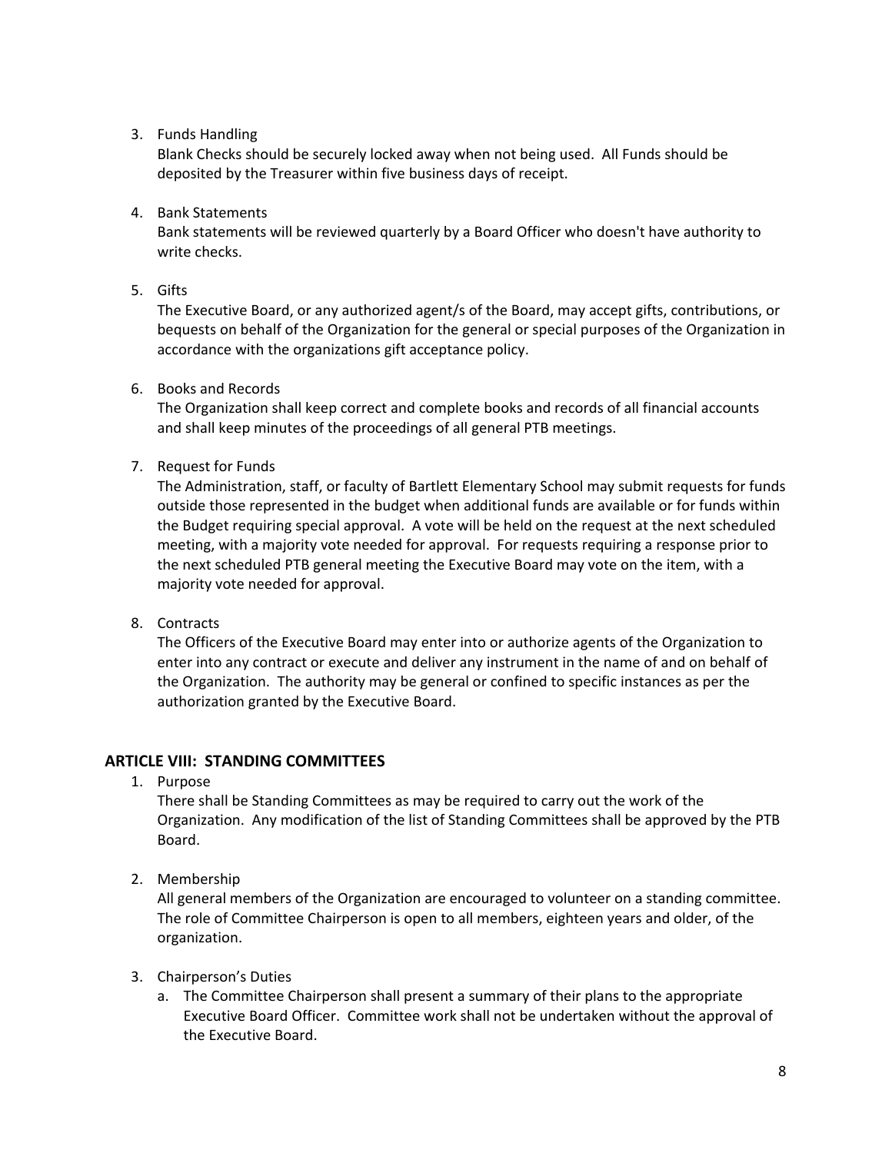#### 3. Funds Handling

Blank Checks should be securely locked away when not being used. All Funds should be deposited by the Treasurer within five business days of receipt.

4. Bank Statements

Bank statements will be reviewed quarterly by a Board Officer who doesn't have authority to write checks.

5. Gifts

The Executive Board, or any authorized agent/s of the Board, may accept gifts, contributions, or bequests on behalf of the Organization for the general or special purposes of the Organization in accordance with the organizations gift acceptance policy.

6. Books and Records

The Organization shall keep correct and complete books and records of all financial accounts and shall keep minutes of the proceedings of all general PTB meetings.

7. Request for Funds

The Administration, staff, or faculty of Bartlett Elementary School may submit requests for funds outside those represented in the budget when additional funds are available or for funds within the Budget requiring special approval. A vote will be held on the request at the next scheduled meeting, with a majority vote needed for approval. For requests requiring a response prior to the next scheduled PTB general meeting the Executive Board may vote on the item, with a majority vote needed for approval.

8. Contracts

The Officers of the Executive Board may enter into or authorize agents of the Organization to enter into any contract or execute and deliver any instrument in the name of and on behalf of the Organization. The authority may be general or confined to specific instances as per the authorization granted by the Executive Board.

## **ARTICLE VIII: STANDING COMMITTEES**

1. Purpose

There shall be Standing Committees as may be required to carry out the work of the Organization. Any modification of the list of Standing Committees shall be approved by the PTB Board.

2. Membership

All general members of the Organization are encouraged to volunteer on a standing committee. The role of Committee Chairperson is open to all members, eighteen years and older, of the organization.

- 3. Chairperson's Duties
	- a. The Committee Chairperson shall present a summary of their plans to the appropriate Executive Board Officer. Committee work shall not be undertaken without the approval of the Executive Board.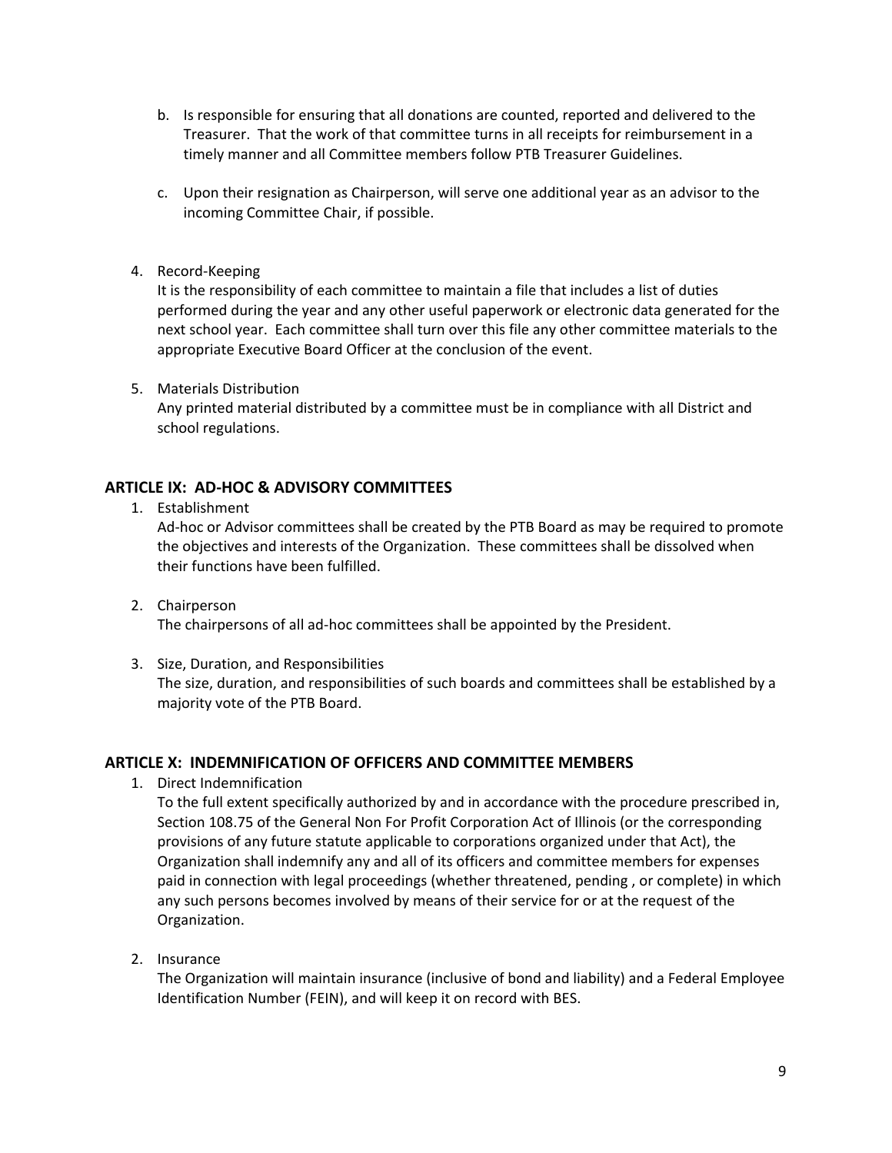- b. Is responsible for ensuring that all donations are counted, reported and delivered to the Treasurer. That the work of that committee turns in all receipts for reimbursement in a timely manner and all Committee members follow PTB Treasurer Guidelines.
- c. Upon their resignation as Chairperson, will serve one additional year as an advisor to the incoming Committee Chair, if possible.
- 4. Record‐Keeping

It is the responsibility of each committee to maintain a file that includes a list of duties performed during the year and any other useful paperwork or electronic data generated for the next school year. Each committee shall turn over this file any other committee materials to the appropriate Executive Board Officer at the conclusion of the event.

5. Materials Distribution

Any printed material distributed by a committee must be in compliance with all District and school regulations.

## **ARTICLE IX: AD‐HOC & ADVISORY COMMITTEES**

1. Establishment

Ad-hoc or Advisor committees shall be created by the PTB Board as may be required to promote the objectives and interests of the Organization. These committees shall be dissolved when their functions have been fulfilled.

- 2. Chairperson The chairpersons of all ad‐hoc committees shall be appointed by the President.
- 3. Size, Duration, and Responsibilities

The size, duration, and responsibilities of such boards and committees shall be established by a majority vote of the PTB Board.

## **ARTICLE X: INDEMNIFICATION OF OFFICERS AND COMMITTEE MEMBERS**

1. Direct Indemnification

To the full extent specifically authorized by and in accordance with the procedure prescribed in, Section 108.75 of the General Non For Profit Corporation Act of Illinois (or the corresponding provisions of any future statute applicable to corporations organized under that Act), the Organization shall indemnify any and all of its officers and committee members for expenses paid in connection with legal proceedings (whether threatened, pending , or complete) in which any such persons becomes involved by means of their service for or at the request of the Organization.

2. Insurance

The Organization will maintain insurance (inclusive of bond and liability) and a Federal Employee Identification Number (FEIN), and will keep it on record with BES.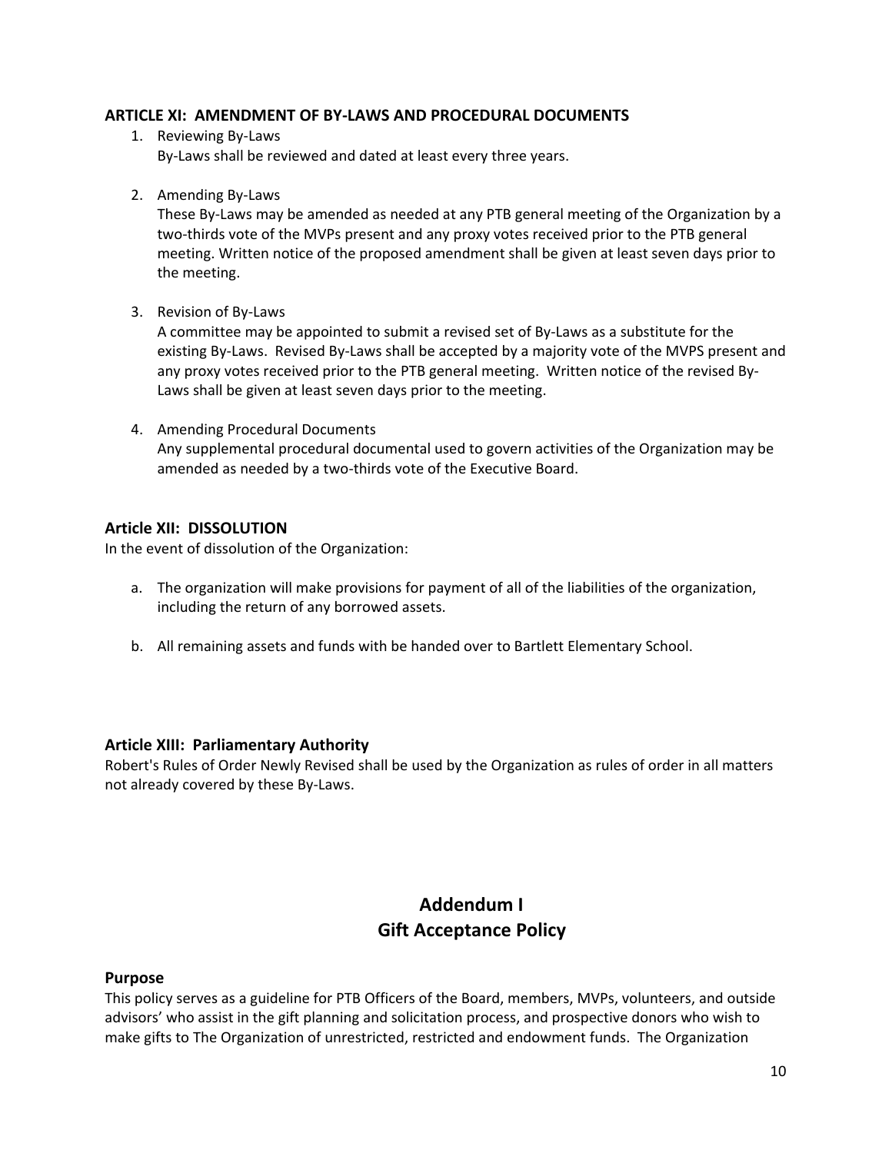#### **ARTICLE XI: AMENDMENT OF BY‐LAWS AND PROCEDURAL DOCUMENTS**

- 1. Reviewing By‐Laws By-Laws shall be reviewed and dated at least every three years.
- 2. Amending By‐Laws

These By-Laws may be amended as needed at any PTB general meeting of the Organization by a two-thirds vote of the MVPs present and any proxy votes received prior to the PTB general meeting. Written notice of the proposed amendment shall be given at least seven days prior to the meeting.

3. Revision of By‐Laws

A committee may be appointed to submit a revised set of By‐Laws as a substitute for the existing By-Laws. Revised By-Laws shall be accepted by a majority vote of the MVPS present and any proxy votes received prior to the PTB general meeting. Written notice of the revised By‐ Laws shall be given at least seven days prior to the meeting.

4. Amending Procedural Documents Any supplemental procedural documental used to govern activities of the Organization may be amended as needed by a two‐thirds vote of the Executive Board.

#### **Article XII: DISSOLUTION**

In the event of dissolution of the Organization:

- a. The organization will make provisions for payment of all of the liabilities of the organization, including the return of any borrowed assets.
- b. All remaining assets and funds with be handed over to Bartlett Elementary School.

## **Article XIII: Parliamentary Authority**

Robert's Rules of Order Newly Revised shall be used by the Organization as rules of order in all matters not already covered by these By‐Laws.

## **Addendum I Gift Acceptance Policy**

#### **Purpose**

This policy serves as a guideline for PTB Officers of the Board, members, MVPs, volunteers, and outside advisors' who assist in the gift planning and solicitation process, and prospective donors who wish to make gifts to The Organization of unrestricted, restricted and endowment funds. The Organization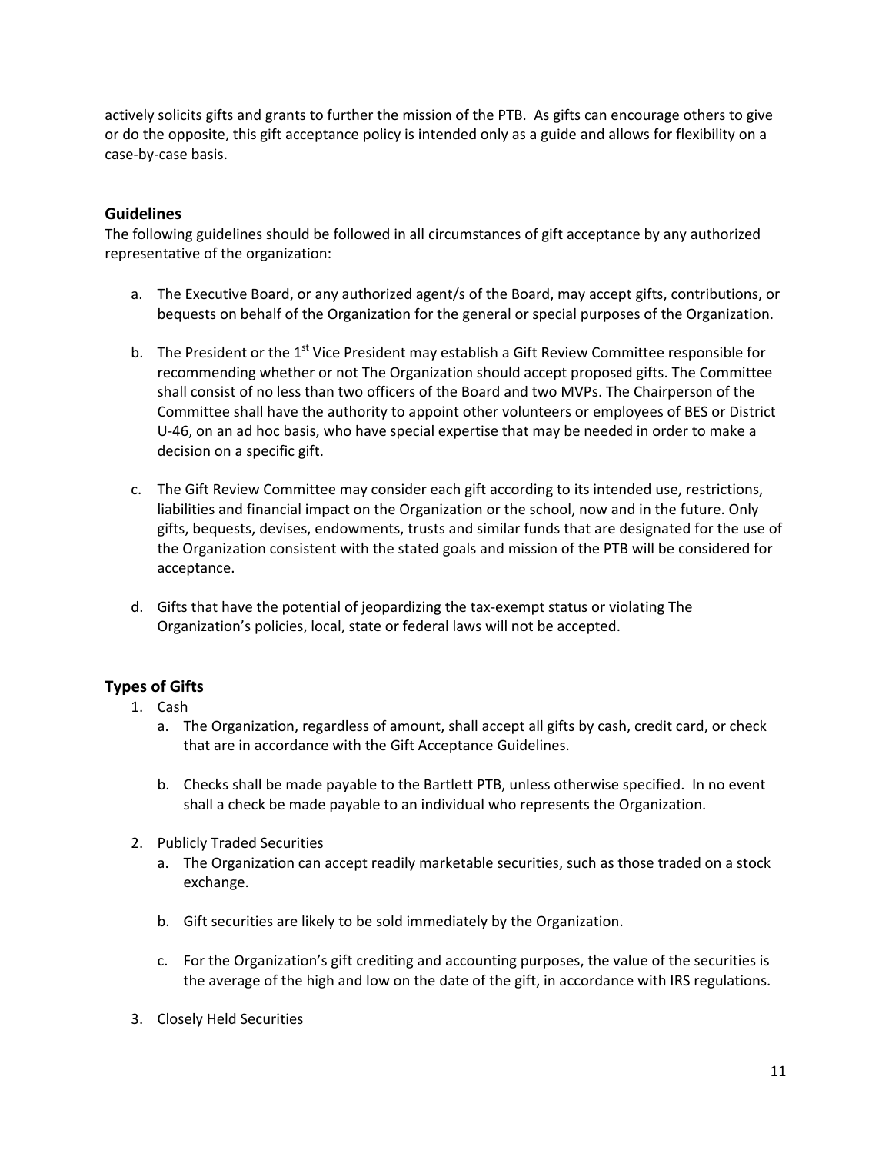actively solicits gifts and grants to further the mission of the PTB. As gifts can encourage others to give or do the opposite, this gift acceptance policy is intended only as a guide and allows for flexibility on a case‐by‐case basis.

#### **Guidelines**

The following guidelines should be followed in all circumstances of gift acceptance by any authorized representative of the organization:

- a. The Executive Board, or any authorized agent/s of the Board, may accept gifts, contributions, or bequests on behalf of the Organization for the general or special purposes of the Organization.
- b. The President or the  $1<sup>st</sup>$  Vice President may establish a Gift Review Committee responsible for recommending whether or not The Organization should accept proposed gifts. The Committee shall consist of no less than two officers of the Board and two MVPs. The Chairperson of the Committee shall have the authority to appoint other volunteers or employees of BES or District U-46, on an ad hoc basis, who have special expertise that may be needed in order to make a decision on a specific gift.
- c. The Gift Review Committee may consider each gift according to its intended use, restrictions, liabilities and financial impact on the Organization or the school, now and in the future. Only gifts, bequests, devises, endowments, trusts and similar funds that are designated for the use of the Organization consistent with the stated goals and mission of the PTB will be considered for acceptance.
- d. Gifts that have the potential of jeopardizing the tax‐exempt status or violating The Organization's policies, local, state or federal laws will not be accepted.

## **Types of Gifts**

- 1. Cash
	- a. The Organization, regardless of amount, shall accept all gifts by cash, credit card, or check that are in accordance with the Gift Acceptance Guidelines.
	- b. Checks shall be made payable to the Bartlett PTB, unless otherwise specified. In no event shall a check be made payable to an individual who represents the Organization.
- 2. Publicly Traded Securities
	- a. The Organization can accept readily marketable securities, such as those traded on a stock exchange.
	- b. Gift securities are likely to be sold immediately by the Organization.
	- c. For the Organization's gift crediting and accounting purposes, the value of the securities is the average of the high and low on the date of the gift, in accordance with IRS regulations.
- 3. Closely Held Securities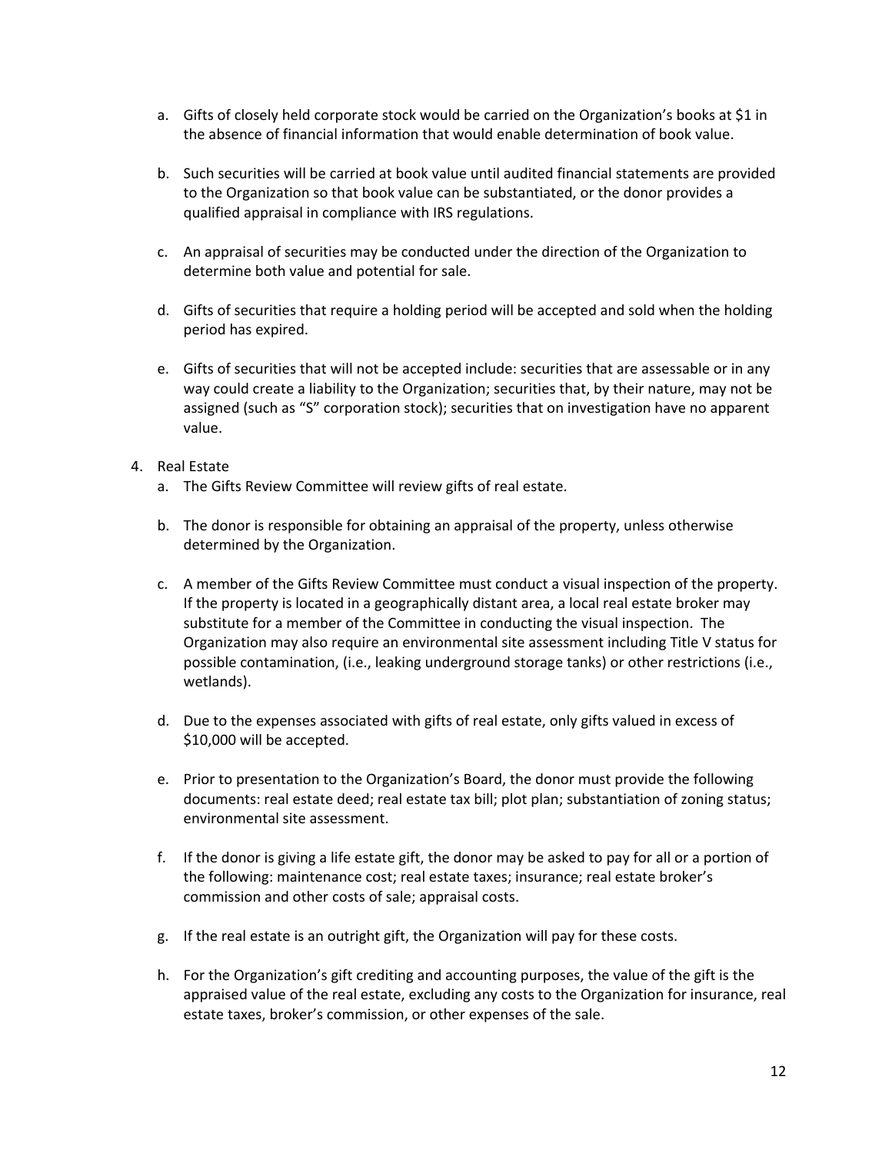- a. Gifts of closely held corporate stock would be carried on the Organization's books at \$1 in the absence of financial information that would enable determination of book value.
- b. Such securities will be carried at book value until audited financial statements are provided to the Organization so that book value can be substantiated, or the donor provides a qualified appraisal in compliance with IRS regulations.
- c. An appraisal of securities may be conducted under the direction of the Organization to determine both value and potential for sale.
- d. Gifts of securities that require a holding period will be accepted and sold when the holding period has expired.
- e. Gifts of securities that will not be accepted include: securities that are assessable or in any way could create a liability to the Organization; securities that, by their nature, may not be assigned (such as "S" corporation stock); securities that on investigation have no apparent value.
- 4. Real Estate
	- a. The Gifts Review Committee will review gifts of real estate.
	- b. The donor is responsible for obtaining an appraisal of the property, unless otherwise determined by the Organization.
	- c. A member of the Gifts Review Committee must conduct a visual inspection of the property. If the property is located in a geographically distant area, a local real estate broker may substitute for a member of the Committee in conducting the visual inspection. The Organization may also require an environmental site assessment including Title V status for possible contamination, (i.e., leaking underground storage tanks) or other restrictions (i.e., wetlands).
	- d. Due to the expenses associated with gifts of real estate, only gifts valued in excess of \$10,000 will be accepted.
	- e. Prior to presentation to the Organization's Board, the donor must provide the following documents: real estate deed; real estate tax bill; plot plan; substantiation of zoning status; environmental site assessment.
	- f. If the donor is giving a life estate gift, the donor may be asked to pay for all or a portion of the following: maintenance cost; real estate taxes; insurance; real estate broker's commission and other costs of sale; appraisal costs.
	- g. If the real estate is an outright gift, the Organization will pay for these costs.
	- h. For the Organization's gift crediting and accounting purposes, the value of the gift is the appraised value of the real estate, excluding any costs to the Organization for insurance, real estate taxes, broker's commission, or other expenses of the sale.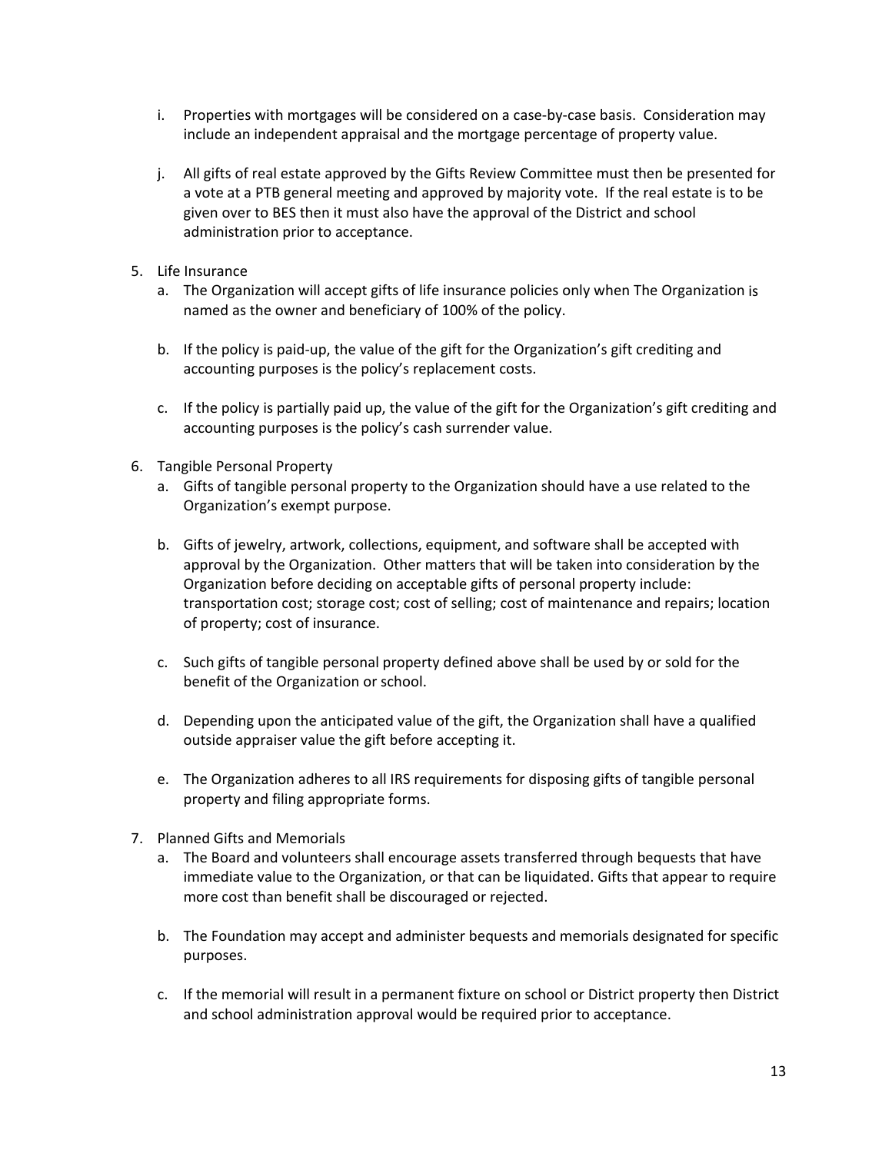- i. Properties with mortgages will be considered on a case‐by‐case basis. Consideration may include an independent appraisal and the mortgage percentage of property value.
- j. All gifts of real estate approved by the Gifts Review Committee must then be presented for a vote at a PTB general meeting and approved by majority vote. If the real estate is to be given over to BES then it must also have the approval of the District and school administration prior to acceptance.
- 5. Life Insurance
	- a. The Organization will accept gifts of life insurance policies only when The Organization is named as the owner and beneficiary of 100% of the policy.
	- b. If the policy is paid-up, the value of the gift for the Organization's gift crediting and accounting purposes is the policy's replacement costs.
	- c. If the policy is partially paid up, the value of the gift for the Organization's gift crediting and accounting purposes is the policy's cash surrender value.
- 6. Tangible Personal Property
	- a. Gifts of tangible personal property to the Organization should have a use related to the Organization's exempt purpose.
	- b. Gifts of jewelry, artwork, collections, equipment, and software shall be accepted with approval by the Organization. Other matters that will be taken into consideration by the Organization before deciding on acceptable gifts of personal property include: transportation cost; storage cost; cost of selling; cost of maintenance and repairs; location of property; cost of insurance.
	- c. Such gifts of tangible personal property defined above shall be used by or sold for the benefit of the Organization or school.
	- d. Depending upon the anticipated value of the gift, the Organization shall have a qualified outside appraiser value the gift before accepting it.
	- e. The Organization adheres to all IRS requirements for disposing gifts of tangible personal property and filing appropriate forms.
- 7. Planned Gifts and Memorials
	- a. The Board and volunteers shall encourage assets transferred through bequests that have immediate value to the Organization, or that can be liquidated. Gifts that appear to require more cost than benefit shall be discouraged or rejected.
	- b. The Foundation may accept and administer bequests and memorials designated for specific purposes.
	- c. If the memorial will result in a permanent fixture on school or District property then District and school administration approval would be required prior to acceptance.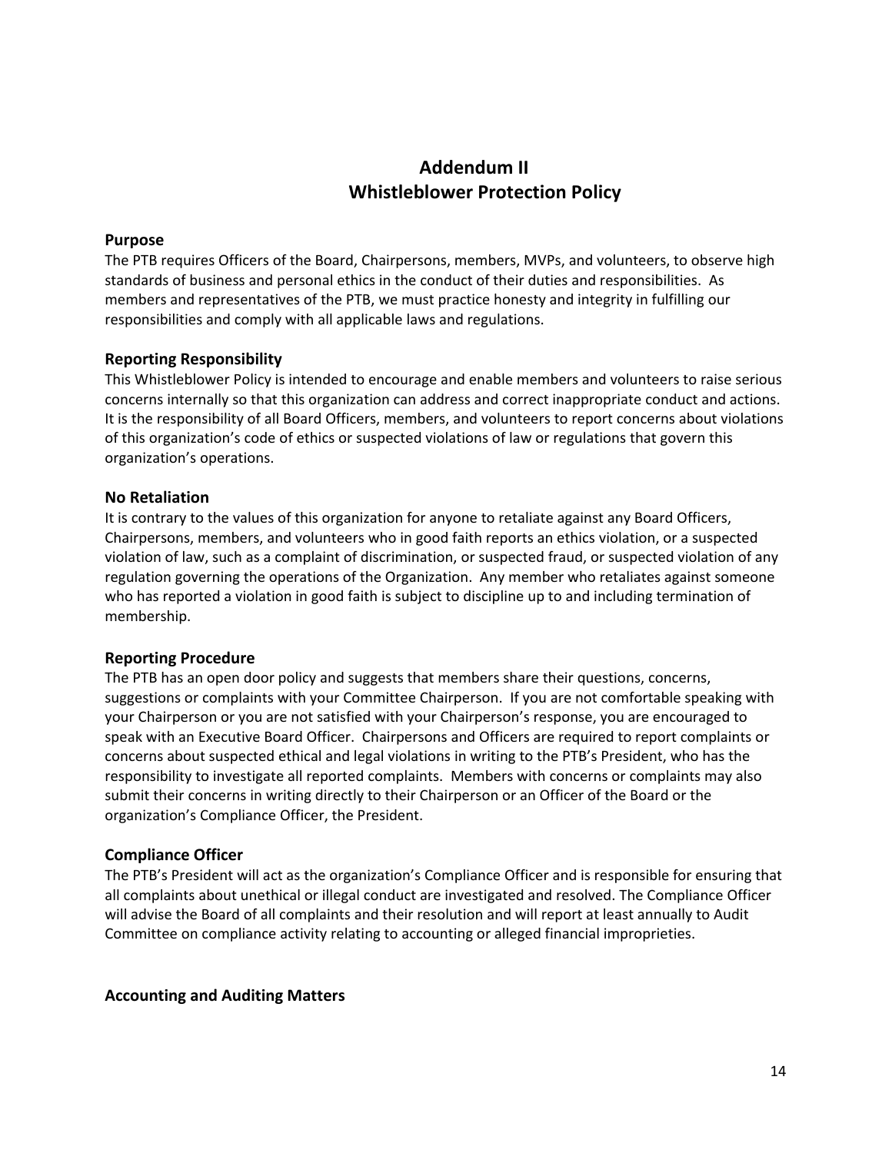## **Addendum II Whistleblower Protection Policy**

#### **Purpose**

The PTB requires Officers of the Board, Chairpersons, members, MVPs, and volunteers, to observe high standards of business and personal ethics in the conduct of their duties and responsibilities. As members and representatives of the PTB, we must practice honesty and integrity in fulfilling our responsibilities and comply with all applicable laws and regulations.

#### **Reporting Responsibility**

This Whistleblower Policy is intended to encourage and enable members and volunteers to raise serious concerns internally so that this organization can address and correct inappropriate conduct and actions. It is the responsibility of all Board Officers, members, and volunteers to report concerns about violations of this organization's code of ethics or suspected violations of law or regulations that govern this organization's operations.

#### **No Retaliation**

It is contrary to the values of this organization for anyone to retaliate against any Board Officers, Chairpersons, members, and volunteers who in good faith reports an ethics violation, or a suspected violation of law, such as a complaint of discrimination, or suspected fraud, or suspected violation of any regulation governing the operations of the Organization. Any member who retaliates against someone who has reported a violation in good faith is subject to discipline up to and including termination of membership.

#### **Reporting Procedure**

The PTB has an open door policy and suggests that members share their questions, concerns, suggestions or complaints with your Committee Chairperson. If you are not comfortable speaking with your Chairperson or you are not satisfied with your Chairperson's response, you are encouraged to speak with an Executive Board Officer. Chairpersons and Officers are required to report complaints or concerns about suspected ethical and legal violations in writing to the PTB's President, who has the responsibility to investigate all reported complaints. Members with concerns or complaints may also submit their concerns in writing directly to their Chairperson or an Officer of the Board or the organization's Compliance Officer, the President.

#### **Compliance Officer**

The PTB's President will act as the organization's Compliance Officer and is responsible for ensuring that all complaints about unethical or illegal conduct are investigated and resolved. The Compliance Officer will advise the Board of all complaints and their resolution and will report at least annually to Audit Committee on compliance activity relating to accounting or alleged financial improprieties.

#### **Accounting and Auditing Matters**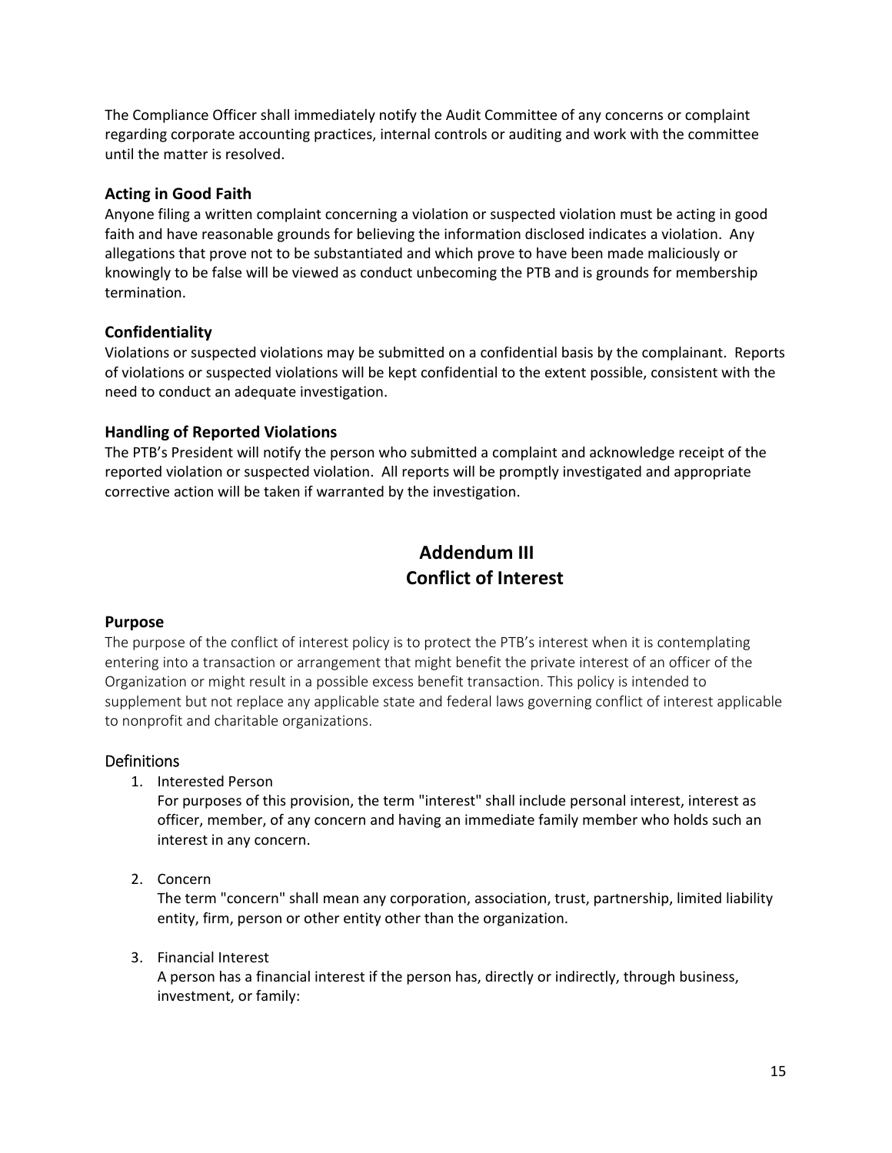The Compliance Officer shall immediately notify the Audit Committee of any concerns or complaint regarding corporate accounting practices, internal controls or auditing and work with the committee until the matter is resolved.

#### **Acting in Good Faith**

Anyone filing a written complaint concerning a violation or suspected violation must be acting in good faith and have reasonable grounds for believing the information disclosed indicates a violation. Any allegations that prove not to be substantiated and which prove to have been made maliciously or knowingly to be false will be viewed as conduct unbecoming the PTB and is grounds for membership termination.

## **Confidentiality**

Violations or suspected violations may be submitted on a confidential basis by the complainant. Reports of violations or suspected violations will be kept confidential to the extent possible, consistent with the need to conduct an adequate investigation.

#### **Handling of Reported Violations**

The PTB's President will notify the person who submitted a complaint and acknowledge receipt of the reported violation or suspected violation. All reports will be promptly investigated and appropriate corrective action will be taken if warranted by the investigation.

## **Addendum III Conflict of Interest**

#### **Purpose**

The purpose of the conflict of interest policy is to protect the PTB's interest when it is contemplating entering into a transaction or arrangement that might benefit the private interest of an officer of the Organization or might result in a possible excess benefit transaction. This policy is intended to supplement but not replace any applicable state and federal laws governing conflict of interest applicable to nonprofit and charitable organizations.

## **Definitions**

1. Interested Person

For purposes of this provision, the term "interest" shall include personal interest, interest as officer, member, of any concern and having an immediate family member who holds such an interest in any concern.

2. Concern

The term "concern" shall mean any corporation, association, trust, partnership, limited liability entity, firm, person or other entity other than the organization.

3. Financial Interest

A person has a financial interest if the person has, directly or indirectly, through business, investment, or family: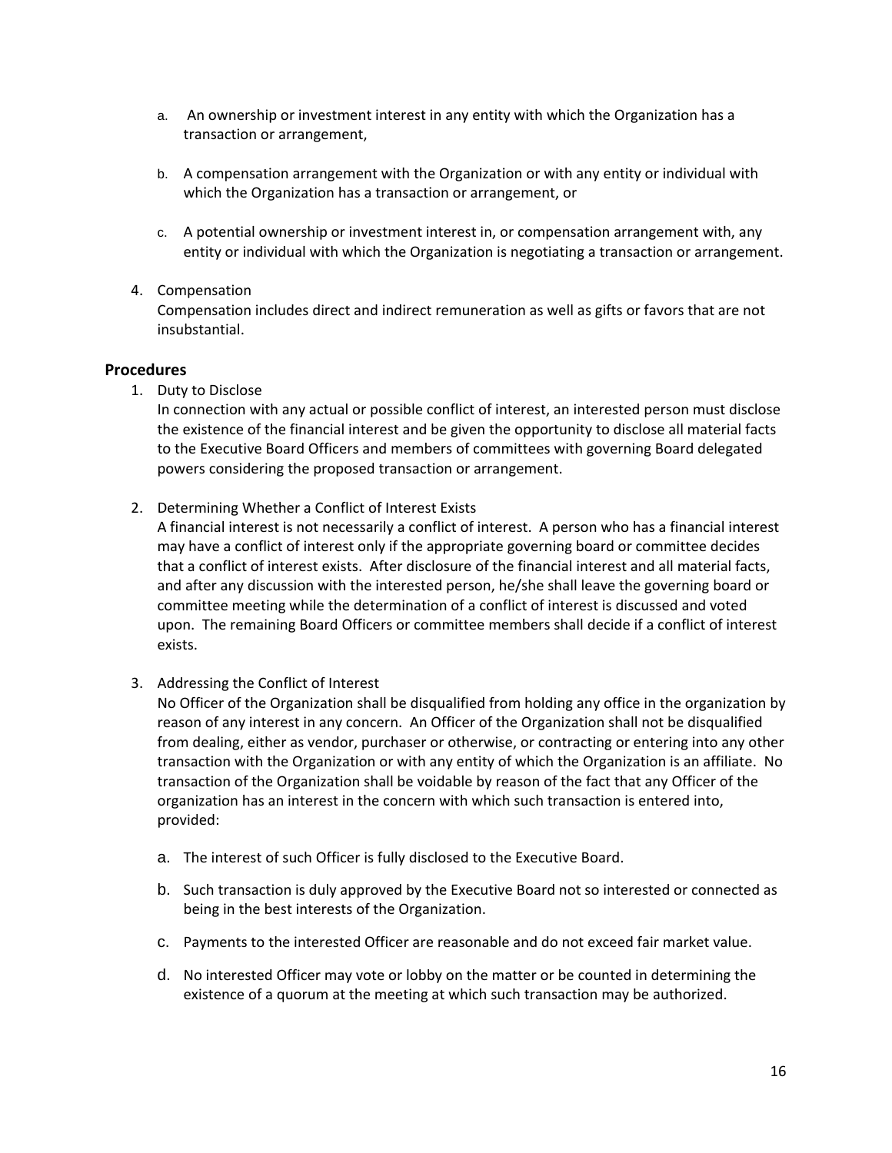- a. An ownership or investment interest in any entity with which the Organization has a transaction or arrangement,
- b. A compensation arrangement with the Organization or with any entity or individual with which the Organization has a transaction or arrangement, or
- c. A potential ownership or investment interest in, or compensation arrangement with, any entity or individual with which the Organization is negotiating a transaction or arrangement.

#### 4. Compensation

Compensation includes direct and indirect remuneration as well as gifts or favors that are not insubstantial.

#### **Procedures**

1. Duty to Disclose

In connection with any actual or possible conflict of interest, an interested person must disclose the existence of the financial interest and be given the opportunity to disclose all material facts to the Executive Board Officers and members of committees with governing Board delegated powers considering the proposed transaction or arrangement.

2. Determining Whether a Conflict of Interest Exists

A financial interest is not necessarily a conflict of interest. A person who has a financial interest may have a conflict of interest only if the appropriate governing board or committee decides that a conflict of interest exists. After disclosure of the financial interest and all material facts, and after any discussion with the interested person, he/she shall leave the governing board or committee meeting while the determination of a conflict of interest is discussed and voted upon. The remaining Board Officers or committee members shall decide if a conflict of interest exists.

## 3. Addressing the Conflict of Interest

No Officer of the Organization shall be disqualified from holding any office in the organization by reason of any interest in any concern. An Officer of the Organization shall not be disqualified from dealing, either as vendor, purchaser or otherwise, or contracting or entering into any other transaction with the Organization or with any entity of which the Organization is an affiliate. No transaction of the Organization shall be voidable by reason of the fact that any Officer of the organization has an interest in the concern with which such transaction is entered into, provided:

- a. The interest of such Officer is fully disclosed to the Executive Board.
- b. Such transaction is duly approved by the Executive Board not so interested or connected as being in the best interests of the Organization.
- c. Payments to the interested Officer are reasonable and do not exceed fair market value.
- d. No interested Officer may vote or lobby on the matter or be counted in determining the existence of a quorum at the meeting at which such transaction may be authorized.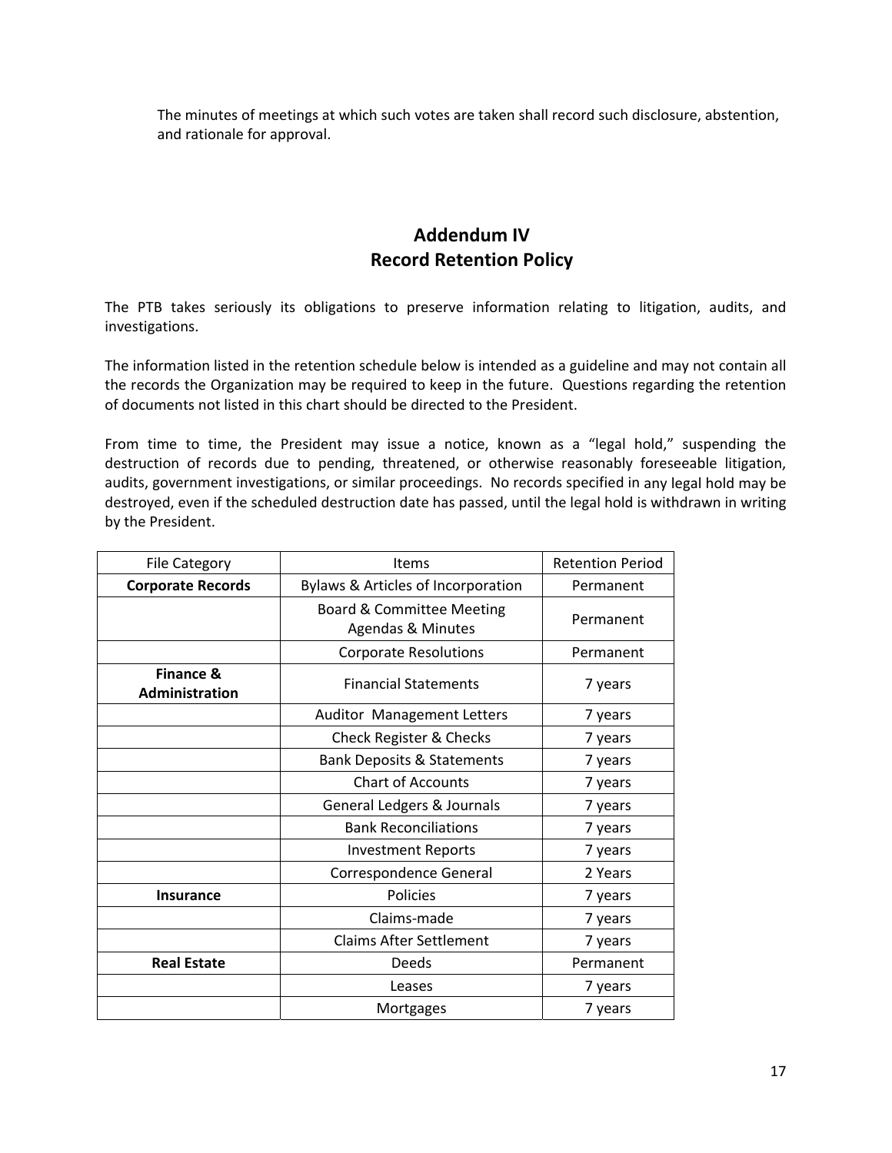The minutes of meetings at which such votes are taken shall record such disclosure, abstention, and rationale for approval.

## **Addendum IV Record Retention Policy**

The PTB takes seriously its obligations to preserve information relating to litigation, audits, and investigations.

The information listed in the retention schedule below is intended as a guideline and may not contain all the records the Organization may be required to keep in the future. Questions regarding the retention of documents not listed in this chart should be directed to the President.

From time to time, the President may issue a notice, known as a "legal hold," suspending the destruction of records due to pending, threatened, or otherwise reasonably foreseeable litigation, audits, government investigations, or similar proceedings. No records specified in any legal hold may be destroyed, even if the scheduled destruction date has passed, until the legal hold is withdrawn in writing by the President.

| <b>File Category</b>                          | <b>Items</b>                                              | <b>Retention Period</b> |
|-----------------------------------------------|-----------------------------------------------------------|-------------------------|
| <b>Corporate Records</b>                      | Bylaws & Articles of Incorporation                        | Permanent               |
|                                               | <b>Board &amp; Committee Meeting</b><br>Agendas & Minutes | Permanent               |
|                                               | <b>Corporate Resolutions</b>                              | Permanent               |
| <b>Finance &amp;</b><br><b>Administration</b> | <b>Financial Statements</b>                               | 7 years                 |
|                                               | Auditor Management Letters                                | 7 years                 |
|                                               | Check Register & Checks                                   | 7 years                 |
|                                               | <b>Bank Deposits &amp; Statements</b>                     | 7 years                 |
|                                               | <b>Chart of Accounts</b>                                  | 7 years                 |
|                                               | General Ledgers & Journals                                | 7 years                 |
|                                               | <b>Bank Reconciliations</b>                               | 7 years                 |
|                                               | <b>Investment Reports</b>                                 | 7 years                 |
|                                               | Correspondence General                                    | 2 Years                 |
| <b>Insurance</b>                              | Policies                                                  | 7 years                 |
|                                               | Claims-made                                               | 7 years                 |
|                                               | <b>Claims After Settlement</b>                            | 7 years                 |
| <b>Real Estate</b>                            | Deeds                                                     | Permanent               |
|                                               | Leases                                                    | 7 years                 |
|                                               | Mortgages                                                 | 7 years                 |